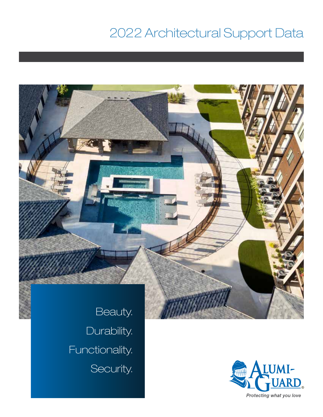# 2022 Architectural Support Data



Durability. Functionality. Security.

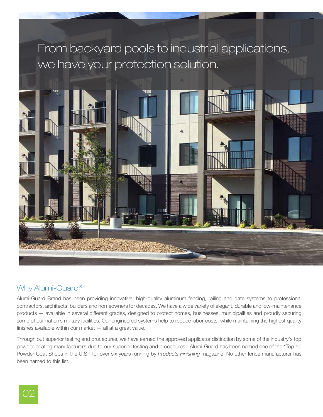# From backyard pools to industrial applications, we have your protection solution.



#### Why Alumi-Guard®

Alumi-Guard Brand has been providing innovative, high-quality aluminum fencing, railing and gate systems to professional contractors, architects, builders and homeowners for decades. We have a wide variety of elegant, durable and low-maintenance products — available in several different grades, designed to protect homes, businesses, municipalities and proudly securing some of our nation's military facilities. Our engineered systems help to reduce labor costs, while maintaining the highest quality finishes available within our market — all at a great value.

Through out superior testing and procedures, we have earned the approved applicator distinction by some of the industry's top powder-coating manufacturers due to our superior testing and procedures. Alumi-Guard has been named one of the "Top 50 Powder-Coat Shops in the U.S." for over six years running by *Products Finishing* magazine. No other fence manufacturer has been named to this list.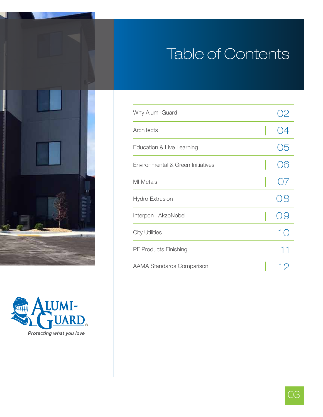# Table of Contents





| Why Alumi-Guard                   |      |
|-----------------------------------|------|
| Architects                        |      |
| Education & Live Learning         | ين ( |
| Environmental & Green Initiatives |      |
| <b>MI</b> Metals                  |      |
| Hydro Extrusion                   |      |
| Interpon   AkzoNobel              |      |
| <b>City Utilities</b>             |      |
| <b>PF Products Finishing</b>      | 11   |
| <b>AAMA Standards Comparison</b>  | 12   |

03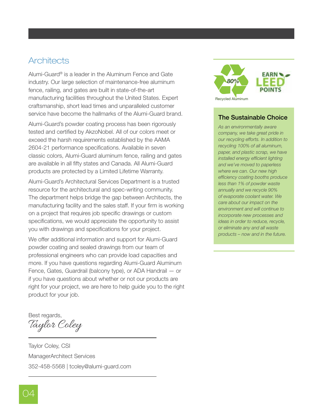### **Architects**

Alumi-Guard® is a leader in the Aluminum Fence and Gate industry. Our large selection of maintenance-free aluminum fence, railing, and gates are built in state-of-the-art manufacturing facilities throughout the United States. Expert craftsmanship, short lead times and unparalleled customer service have become the hallmarks of the Alumi-Guard brand.

Alumi-Guard's powder coating process has been rigorously tested and certified by AkzoNobel. All of our colors meet or exceed the harsh requirements established by the AAMA 2604-21 performance specifications. Available in seven classic colors, Alumi-Guard aluminum fence, railing and gates are available in all fifty states and Canada. All Alumi-Guard products are protected by a Limited Lifetime Warranty.

Alumi-Guard's Architectural Services Department is a trusted resource for the architectural and spec-writing community. The department helps bridge the gap between Architects, the manufacturing facility and the sales staff. If your firm is working on a project that requires job specific drawings or custom specifications, we would appreciate the opportunity to assist you with drawings and specifications for your project.

We offer additional information and support for Alumi-Guard powder coating and sealed drawings from our team of professional engineers who can provide load capacities and more. If you have questions regarding Alumi-Guard Aluminum Fence, Gates, Guardrail (balcony type), or ADA Handrail — or if you have questions about whether or not our products are right for your project, we are here to help guide you to the right product for your job.

Best regards,

Taylor Coley

Taylor Coley, CSI ManagerArchitect Services 352-458-5568 | tcoley@alumi-guard.com



#### The Sustainable Choice

*As an environmentally aware company, we take great pride in our recycling efforts. In addition to recycling 100% of all aluminum, paper, and plastic scrap, we have installed energy efficient lighting and we've moved to paperless where we can. Our new high efficiency coating booths produce less than 1% of powder waste annually and we recycle 90% of evaporate coolant water. We care about our impact on the environment and will continue to incorporate new processes and ideas in order to reduce, recycle, or eliminate any and all waste products – now and in the future.*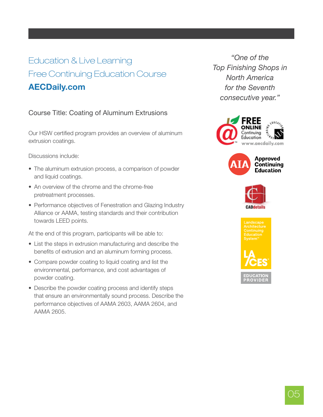# Education & Live Learning Free Continuing Education Course AECDaily.com

### Course Title: Coating of Aluminum Extrusions

Our HSW certified program provides an overview of aluminum extrusion coatings.

Discussions include:

- The aluminum extrusion process, a comparison of powder and liquid coatings.
- An overview of the chrome and the chrome-free pretreatment processes.
- Performance objectives of Fenestration and Glazing Industry Alliance or AAMA, testing standards and their contribution towards LEED points.

At the end of this program, participants will be able to:

- List the steps in extrusion manufacturing and describe the benefits of extrusion and an aluminum forming process.
- Compare powder coating to liquid coating and list the environmental, performance, and cost advantages of powder coating.
- Describe the powder coating process and identify steps that ensure an environmentally sound process. Describe the performance objectives of AAMA 2603, AAMA 2604, and AAMA 2605.

*"One of the Top Finishing Shops in North America for the Seventh consecutive year."*







Landscape Continuing

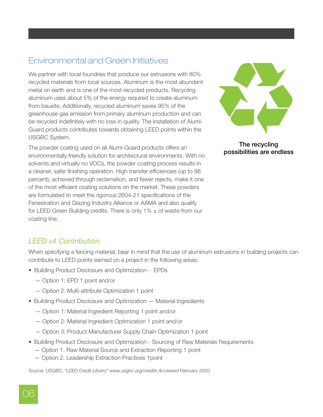# Environmental and Green Initiatives

We partner with local foundries that produce our extrusions with 80% recycled materials from local sources. Aluminum is the most abundant metal on earth and is one of the most recycled products. Recycling aluminum uses about 5% of the energy required to create aluminum from bauxite. Additionally, recycled aluminum saves 95% of the greenhouse gas emission from primary aluminum production and can be recycled indefinitely with no loss in quality. The installation of Alumi-Guard products contributes towards obtaining LEED points within the USGBC System.

The powder coating used on all Alumi-Guard products offers an environmentally friendly solution for architectural environments. With no solvents and virtually no VOCs, the powder coating process results in a cleaner, safer finishing operation. High transfer efficiencies (up to 98 percent), achieved through reclamation, and fewer rejects, make it one of the most efficient coating solutions on the market. These powders are formulated to meet the rigorous 2604-21 specifications of the Fenestration and Glazing Industry Alliance or AAMA and also qualify for LEED Green Building credits. There is only  $1\% \pm$  of waste from our coating line.



The recycling possibilities are endless

### *LEED v4 Contribution*

When specifying a fencing material, bear in mind that the use of aluminum extrusions in building projects can contribute to LEED points earned on a project in the following areas:

- Building Product Disclosure and Optimization EPDs
	- Option 1: EPD 1 point and/or
	- Option 2: Multi-attribute Optimization 1 point
- Building Product Disclosure and Optimization Material Ingredients
	- Option 1: Material Ingredient Reporting 1 point and/or
	- Option 2: Material Ingredient Optimization 1 point and/or
	- Option 3: Product Manufacturer Supply Chain Optimization 1 point
- Building Product Disclosure and Optimization Sourcing of Raw Materials Requirements
	- Option 1. Raw Material Source and Extraction Reporting 1 point
	- Option 2. Leadership Extraction Practices 1point

*Source: USGBC. "LEED Credit Library" www.usgbc.org/credits Accessed February 2020.*

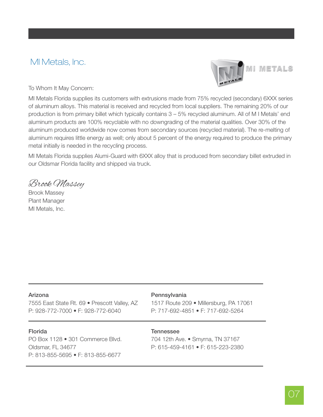### MI Metals, Inc.



**MI METALS** 

To Whom It May Concern:

MI Metals Florida supplies its customers with extrusions made from 75% recycled (secondary) 6XXX series of aluminum alloys. This material is received and recycled from local suppliers. The remaining 20% of our production is from primary billet which typically contains 3 – 5% recycled aluminum. All of M I Metals' end aluminum products are 100% recyclable with no downgrading of the material qualities. Over 30% of the aluminum produced worldwide now comes from secondary sources (recycled material). The re-melting of aluminum requires little energy as well; only about 5 percent of the energy required to produce the primary metal initially is needed in the recycling process.

MI Metals Florida supplies Alumi-Guard with 6XXX alloy that is produced from secondary billet extruded in our Oldsmar Florida facility and shipped via truck.

Brook Massey

Brook Massey Plant Manager MI Metals, Inc.

#### Arizona

7555 East State Rt. 69 • Prescott Valley, AZ P: 928-772-7000 • F: 928-772-6040

#### Florida

PO Box 1128 • 301 Commerce Blvd. Oldsmar, FL 34677 P: 813-855-5695 • F: 813-855-6677

#### Pennsylvania

1517 Route 209 • Millersburg, PA 17061 P: 717-692-4851 • F: 717-692-5264

#### **Tennessee**

704 12th Ave. • Smyrna, TN 37167 P: 615-459-4161 • F: 615-223-2380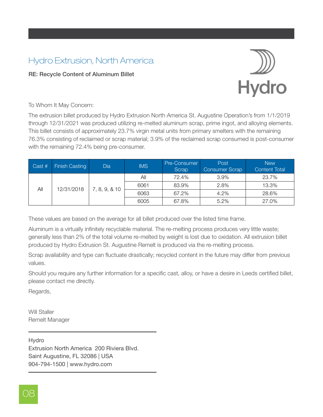# Hydro Extrusion, North America

#### RE: Recycle Content of Aluminum Billet



#### To Whom It May Concern:

The extrusion billet produced by Hydro Extrusion North America St. Augustine Operation's from 1/1/2019 through 12/31/2021 was produced utilizing re-melted aluminum scrap, prime ingot, and alloying elements. This billet consists of approximately 23.7% virgin metal units from primary smelters with the remaining 76.3% consisting of reclaimed or scrap material; 3.9% of the reclaimed scrap consumed is post-consumer with the remaining 72.4% being pre-consumer.

| Cast # | <b>Finish Casting</b> | <b>Dia</b>   | <b>IMS</b> | Pre-Consumer<br>Scrap | Post<br><b>Consumer Scrap</b> | <b>New</b><br><b>Content Total</b> |
|--------|-----------------------|--------------|------------|-----------------------|-------------------------------|------------------------------------|
| Αll    | 12/31/2018            | , 8, 9, & 10 | All        | 72.4%                 | 3.9%                          | 23.7%                              |
|        |                       |              | 6061       | 83.9%                 | 2.8%                          | 13.3%                              |
|        |                       |              | 6063       | 67.2%                 | 4.2%                          | 28.6%                              |
|        |                       |              | 6005       | 67.8%                 | 5.2%                          | 27.0%                              |

These values are based on the average for all billet produced over the listed time frame.

Aluminum is a virtually infinitely recyclable material. The re-melting process produces very little waste; generally less than 2% of the total volume re-melted by weight is lost due to oxidation. All extrusion billet produced by Hydro Extrusion St. Augustine Remelt is produced via the re-melting process.

Scrap availability and type can fluctuate drastically; recycled content in the future may differ from previous values.

Should you require any further information for a specific cast, alloy, or have a desire in Leeds certified billet, please contact me directly.

Regards,

Will Staller Remelt Manager

Hydro Extrusion North America 200 Riviera Blvd. Saint Augustine, FL 32086 | USA 904-794-1500 | www.hydro.com

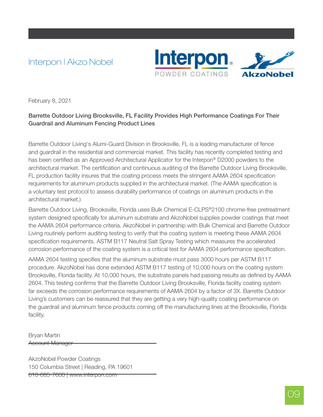# Interpon | Akzo Nobel



February 8, 2021

#### Barrette Outdoor Living Brooksville, FL Facility Provides High Performance Coatings For Their Guardrail and Aluminum Fencing Product Lines

Barrette Outdoor Living's Alumi-Guard Division in Brooksville, FL is a leading manufacturer of fence and guardrail in the residential and commercial market. This facility has recently completed testing and has been certified as an Approved Architectural Applicator for the Interpon® D2000 powders to the architectural market. The certification and continuous auditing of the Barrette Outdoor Living Brooksville, FL production facility insures that the coating process meets the stringent AAMA 2604 specification requirements for aluminum products supplied in the architectural market. (The AAMA specification is a voluntary test protocol to assess durability performance of coatings on aluminum products in the architectural market.)

Barrette Outdoor Living, Brooksville, Florida uses Bulk Chemical E-CLPS®2100 chrome-free pretreatment system designed specifically for aluminum substrate and AkzoNobel supplies powder coatings that meet the AAMA 2604 performance criteria. AkzoNobel in partnership with Bulk Chemical and Barrette Outdoor Living routinely perform auditing testing to verify that the coating system is meeting these AAMA 2604 specification requirements. ASTM B117 Neutral Salt Spray Testing which measures the accelerated corrosion performance of the coating system is a critical test for AAMA 2604 performance specification.

AAMA 2604 testing specifies that the aluminum substrate must pass 3000 hours per ASTM B117 procedure. AkzoNobel has done extended ASTM B117 testing of 10,000 hours on the coating system Brooksville, Florida facility. At 10,000 hours, the substrate panels had passing results as defined by AAMA 2604. This testing confirms that the Barrette Outdoor Living Brooksville, Florida facility coating system far exceeds the corrosion performance requirements of AAMA 2604 by a factor of 3X. Barrette Outdoor Living's customers can be reassured that they are getting a very high-quality coating performance on the guardrail and aluminum fence products coming off the manufacturing lines at the Brooksville, Florida facility.

Bryan Martin Account Manager

AkzoNobel Powder Coatings 150 Columbia Street | Reading, PA 19601 610-685-7600 | www.interpon.com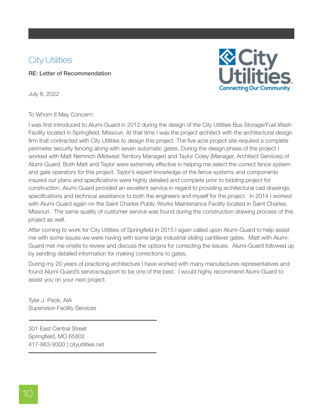# **City Utilities**

RE: Letter of Recommendation



July 8, 2022

#### To Whom It May Concern:

I was first introduced to Alumi-Guard in 2012 during the design of the City Utilities Bus Storage/Fuel Wash Facility located in Springfield, Missouri. At that time I was the project architect with the architectural design firm that contracted with City Utilities to design this project. The five acre project site required a complete perimeter security fencing along with seven automatic gates. During the design phase of the project I worked with Matt Nemnich (Midwest Territory Manager) and Taylor Coley (Manager, Architect Services) of Alumi-Guard. Both Matt and Taylor were extremely effective in helping me select the correct fence system and gate operators for this project. Taylor's expert knowledge of the fence systems and components insured our plans and specifications were highly detailed and complete prior to bidding project for construction. Alumi-Guard provided an excellent service in regard to providing architectural cad drawings, specifications and technical assistance to both the engineers and myself for the project. In 2014 I worked with Alumi-Guard again on the Saint Charles Public Works Maintenance Facility located in Saint Charles, Missouri. The same quality of customer service was found during the construction drawing process of this project as well.

After coming to work for City Utilities of Springfield in 2015 I again called upon Alumi-Guard to help assist me with some issues we were having with some large industrial sliding cantilever gates. Matt with Alumi-Guard met me onsite to review and discuss the options for correcting the issues. Alumi-Guard followed up by sending detailed information for making corrections to gates.

During my 20 years of practicing architecture I have worked with many manufactures representatives and found Alumi-Guard's service/support to be one of the best. I would highly recommend Alumi-Guard to assist you on your next project.

Tyler J. Peck, AIA Supervisor-Facility Services

301 East Central Street Springfield, MO 65802 417-863-9300 | cityutilities.net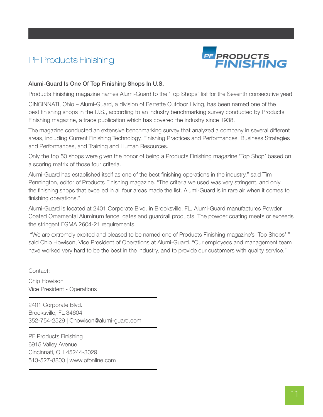# PF Products Finishing



#### Alumi-Guard Is One Of Top Finishing Shops In U.S.

Products Finishing magazine names Alumi-Guard to the 'Top Shops" list for the Seventh consecutive year!

CINCINNATI, Ohio – Alumi-Guard, a division of Barrette Outdoor Living, has been named one of the best finishing shops in the U.S., according to an industry benchmarking survey conducted by Products Finishing magazine, a trade publication which has covered the industry since 1938.

The magazine conducted an extensive benchmarking survey that analyzed a company in several different areas, including Current Finishing Technology, Finishing Practices and Performances, Business Strategies and Performances, and Training and Human Resources.

Only the top 50 shops were given the honor of being a Products Finishing magazine 'Top Shop' based on a scoring matrix of those four criteria.

Alumi-Guard has established itself as one of the best finishing operations in the industry," said Tim Pennington, editor of Products Finishing magazine. "The criteria we used was very stringent, and only the finishing shops that excelled in all four areas made the list. Alumi-Guard is in rare air when it comes to finishing operations."

Alumi-Guard is located at 2401 Corporate Blvd. in Brooksville, FL. Alumi-Guard manufactures Powder Coated Ornamental Aluminum fence, gates and guardrail products. The powder coating meets or exceeds the stringent FGMA 2604-21 requirements.

 "We are extremely excited and pleased to be named one of Products Finishing magazine's 'Top Shops'," said Chip Howison, Vice President of Operations at Alumi-Guard. "Our employees and management team have worked very hard to be the best in the industry, and to provide our customers with quality service."

Contact:

Chip Howison Vice President - Operations

2401 Corporate Blvd. Brooksville, FL 34604 352-754-2529 | Chowison@alumi-guard.com

PF Products Finishing 6915 Valley Avenue Cincinnati, OH 45244-3029 513-527-8800 | www.pfonline.com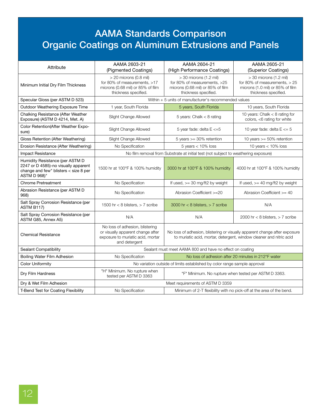# AAMA Standards Comparison Organic Coatings on Aluminum Extrusions and Panels

| Attribute                                                                                                                        | AAMA 2603-21<br>(Pigmented Coatings)                                                                                       | AAMA 2604-21<br>(High Performance Coatings)                                                                                                       | AAMA 2605-21<br>(Superior Coatings)                                                                                     |  |  |
|----------------------------------------------------------------------------------------------------------------------------------|----------------------------------------------------------------------------------------------------------------------------|---------------------------------------------------------------------------------------------------------------------------------------------------|-------------------------------------------------------------------------------------------------------------------------|--|--|
| Minimum Initial Dry Film Thickness                                                                                               | $>$ 20 microns (0.8 mil)<br>for 80% of measurements, >17<br>microns (0.68 mil) or 85% of film<br>thickness specified.      | $>$ 30 microns (1.2 mil)<br>for 80% of measurements, >25<br>microns (0.68 mil) or 85% of film<br>thickness specified.                             | $>$ 30 microns (1.2 mil)<br>for 80% of measurements, $> 25$<br>microns (1.0 mil) or 85% of film<br>thickness specified. |  |  |
| Specular Gloss (per ASTM D 523)                                                                                                  | Within + 5 units of manufacturer's recommended values                                                                      |                                                                                                                                                   |                                                                                                                         |  |  |
| Outdoor Weathering Exposure Time                                                                                                 | 1 year, South Florida                                                                                                      | 5 years, South Florida                                                                                                                            | 10 years, South Florida                                                                                                 |  |  |
| Chalking Resistance (After Weather<br>Exposure) (ASTM D 4214, Met. A)                                                            | Slight Change Allowed                                                                                                      | 5 years: Chalk $<$ 8 rating                                                                                                                       | 10 years: Chalk $<$ 8 rating for<br>colors, <6 rating for white                                                         |  |  |
| Color Retention(After Weather Expo-<br>sure)                                                                                     | Slight Change Allowed                                                                                                      | 5 year fade: delta $E < = 5$                                                                                                                      | 10 year fade: delta $E \le 5$                                                                                           |  |  |
| Gloss Retention (After Weathering)                                                                                               | Slight Change Allowed                                                                                                      | 5 years $>=$ 30% retention                                                                                                                        | 10 years $>= 50\%$ retention                                                                                            |  |  |
| Erosion Resistance (After Weathering)                                                                                            | No Specification                                                                                                           | $5$ years $< 10\%$ loss                                                                                                                           | 10 years $<$ 10% loss                                                                                                   |  |  |
| <b>Impact Resistance</b>                                                                                                         |                                                                                                                            | No film removal from Substrate at initial test (not subject to weathering exposure)                                                               |                                                                                                                         |  |  |
| Humidity Resistance (per ASTM D<br>2247 or D 4585)-no visually apparent<br>change and few" blisters < size 8 per<br>ASTM D 968)" | 1500 hr at 100°F & 100% humidity                                                                                           | 3000 hr at 100°F & 100% humidity                                                                                                                  | 4000 hr at 100°F & 100% humidity                                                                                        |  |  |
| <b>Chrome Pretreatment</b>                                                                                                       | No Specification                                                                                                           | If used, $>=$ 30 mg/ft2 by weight                                                                                                                 | If used, $>=$ 40 mg/ft2 by weight                                                                                       |  |  |
| Abrasion Resistance (per ASTM D<br>968)                                                                                          | No Specification                                                                                                           | Abrasion Coefficient >=20                                                                                                                         | Abrasion Coefficient >= 40                                                                                              |  |  |
| Salt Spray Corrosion Resistance (per<br>ASTM B117)                                                                               | 1500 hr < 8 blisters, $> 7$ scribe                                                                                         | 3000 hr < 8 blisters, $> 7$ scribe                                                                                                                | N/A                                                                                                                     |  |  |
| Salt Spray Corrosion Resistance (per<br>ASTM G85, Annex A5)                                                                      | N/A                                                                                                                        | N/A                                                                                                                                               | 2000 hr < 8 blisters, $> 7$ scribe                                                                                      |  |  |
| <b>Chemical Resistance</b>                                                                                                       | No loss of adhesion, blistering<br>or visually apparent change after<br>exposure to muriatic acid, mortar<br>and detergent | No loss of adhesion, blistering or visually apparent change after exposure<br>to muriatic acid, mortar, detergent, window cleaner and nitric acid |                                                                                                                         |  |  |
| Sealant Compatibility                                                                                                            | Sealant must meet AAMA 800 and have no effect on coating                                                                   |                                                                                                                                                   |                                                                                                                         |  |  |
| Boiling Water Film Adhesion                                                                                                      | No Specification                                                                                                           | No loss of adhesion after 20 minutes in 212°F water                                                                                               |                                                                                                                         |  |  |
| <b>Color Uniformity</b>                                                                                                          | No variation outside of limits established by color range sample approval                                                  |                                                                                                                                                   |                                                                                                                         |  |  |
| Dry Film Hardness                                                                                                                | "H" Minimum. No rupture when<br>tested per ASTM D 3363                                                                     | "F" Minimum. No rupture when tested per ASTM D 3363.                                                                                              |                                                                                                                         |  |  |
| Dry & Wet Film Adhesion                                                                                                          | Meet requirements of ASTM D 3359                                                                                           |                                                                                                                                                   |                                                                                                                         |  |  |
| <b>T-Bend Test for Coating Flexibility</b>                                                                                       | No Specification                                                                                                           | Minimum of 2-T flexibility with no pick-off at the area of the bend.                                                                              |                                                                                                                         |  |  |